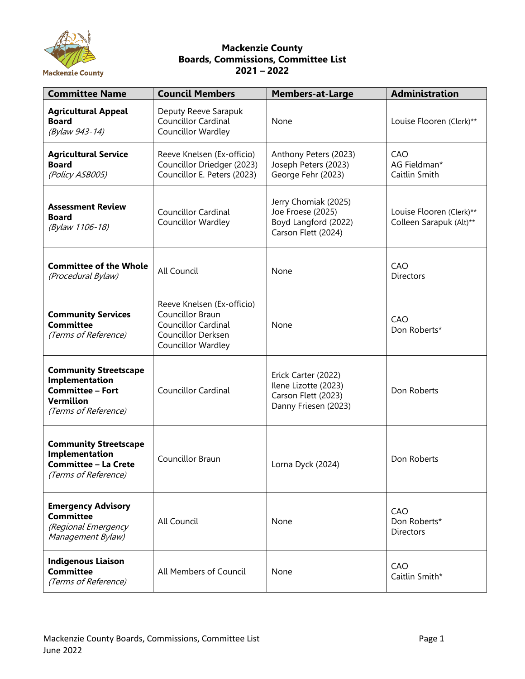

## **Mackenzie County Boards, Commissions, Committee List 2021 – 2022**

| <b>Committee Name</b>                                                                                          | <b>Council Members</b>                                                                                                   | <b>Members-at-Large</b>                                                                    | <b>Administration</b>                               |  |
|----------------------------------------------------------------------------------------------------------------|--------------------------------------------------------------------------------------------------------------------------|--------------------------------------------------------------------------------------------|-----------------------------------------------------|--|
| <b>Agricultural Appeal</b><br><b>Board</b><br>(Bylaw 943-14)                                                   | Deputy Reeve Sarapuk<br>Councillor Cardinal<br>Councillor Wardley                                                        | None                                                                                       | Louise Flooren (Clerk)**                            |  |
| <b>Agricultural Service</b><br><b>Board</b><br>(Policy ASB005)                                                 | Reeve Knelsen (Ex-officio)<br>Councillor Driedger (2023)<br>Councillor E. Peters (2023)                                  | Anthony Peters (2023)<br>Joseph Peters (2023)<br>George Fehr (2023)                        | CAO<br>AG Fieldman*<br>Caitlin Smith                |  |
| <b>Assessment Review</b><br><b>Board</b><br>(Bylaw 1106-18)                                                    | <b>Councillor Cardinal</b><br>Councillor Wardley                                                                         | Jerry Chomiak (2025)<br>Joe Froese (2025)<br>Boyd Langford (2022)<br>Carson Flett (2024)   | Louise Flooren (Clerk)**<br>Colleen Sarapuk (Alt)** |  |
| <b>Committee of the Whole</b><br>(Procedural Bylaw)                                                            | All Council                                                                                                              | None                                                                                       | CAO<br><b>Directors</b>                             |  |
| <b>Community Services</b><br><b>Committee</b><br>(Terms of Reference)                                          | Reeve Knelsen (Ex-officio)<br>Councillor Braun<br><b>Councillor Cardinal</b><br>Councillor Derksen<br>Councillor Wardley | None                                                                                       | CAO<br>Don Roberts*                                 |  |
| <b>Community Streetscape</b><br>Implementation<br><b>Committee - Fort</b><br>Vermilion<br>(Terms of Reference) | <b>Councillor Cardinal</b>                                                                                               | Erick Carter (2022)<br>Ilene Lizotte (2023)<br>Carson Flett (2023)<br>Danny Friesen (2023) | Don Roberts                                         |  |
| <b>Community Streetscape</b><br>Implementation<br><b>Committee - La Crete</b><br>(Terms of Reference)          | Councillor Braun                                                                                                         | Lorna Dyck (2024)                                                                          | Don Roberts                                         |  |
| <b>Emergency Advisory</b><br><b>Committee</b><br>(Regional Emergency<br>Management Bylaw)                      | All Council                                                                                                              | None                                                                                       | CAO<br>Don Roberts*<br><b>Directors</b>             |  |
| <b>Indigenous Liaison</b><br><b>Committee</b><br>(Terms of Reference)                                          | All Members of Council                                                                                                   | None                                                                                       | CAO<br>Caitlin Smith*                               |  |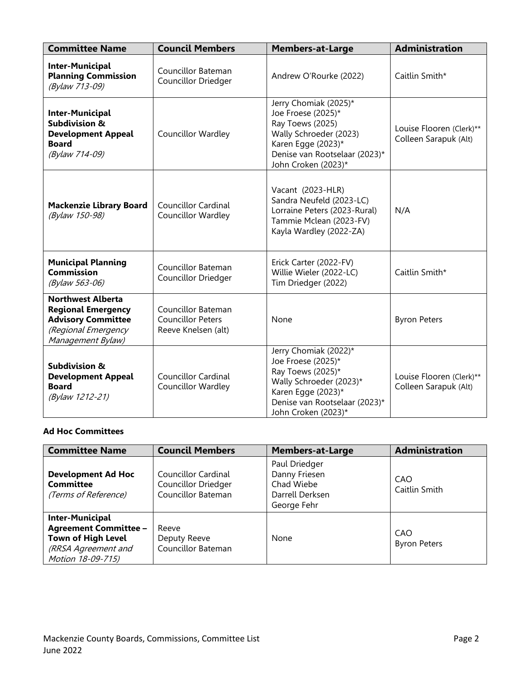| <b>Committee Name</b>                                                                                                          | <b>Council Members</b>                                                | <b>Members-at-Large</b>                                                                                                                                                   | <b>Administration</b>                             |
|--------------------------------------------------------------------------------------------------------------------------------|-----------------------------------------------------------------------|---------------------------------------------------------------------------------------------------------------------------------------------------------------------------|---------------------------------------------------|
| <b>Inter-Municipal</b><br><b>Planning Commission</b><br>(Bylaw 713-09)                                                         | Councillor Bateman<br>Councillor Driedger                             | Andrew O'Rourke (2022)                                                                                                                                                    | Caitlin Smith*                                    |
| <b>Inter-Municipal</b><br><b>Subdivision &amp;</b><br><b>Development Appeal</b><br><b>Board</b><br>(Bylaw 714-09)              | Councillor Wardley                                                    | Jerry Chomiak (2025)*<br>Joe Froese (2025)*<br>Ray Toews (2025)<br>Wally Schroeder (2023)<br>Karen Egge (2023)*<br>Denise van Rootselaar (2023)*<br>John Croken (2023)*   | Louise Flooren (Clerk)**<br>Colleen Sarapuk (Alt) |
| <b>Mackenzie Library Board</b><br>(Bylaw 150-98)                                                                               | <b>Councillor Cardinal</b><br>Councillor Wardley                      | Vacant (2023-HLR)<br>Sandra Neufeld (2023-LC)<br>Lorraine Peters (2023-Rural)<br>Tammie Mclean (2023-FV)<br>Kayla Wardley (2022-ZA)                                       | N/A                                               |
| <b>Municipal Planning</b><br><b>Commission</b><br>(Bylaw 563-06)                                                               | Councillor Bateman<br>Councillor Driedger                             | Erick Carter (2022-FV)<br>Willie Wieler (2022-LC)<br>Tim Driedger (2022)                                                                                                  | Caitlin Smith*                                    |
| <b>Northwest Alberta</b><br><b>Regional Emergency</b><br><b>Advisory Committee</b><br>(Regional Emergency<br>Management Bylaw) | Councillor Bateman<br><b>Councillor Peters</b><br>Reeve Knelsen (alt) | None                                                                                                                                                                      | <b>Byron Peters</b>                               |
| <b>Subdivision &amp;</b><br><b>Development Appeal</b><br><b>Board</b><br>(Bylaw 1212-21)                                       | <b>Councillor Cardinal</b><br>Councillor Wardley                      | Jerry Chomiak (2022)*<br>Joe Froese (2025)*<br>Ray Toews (2025)*<br>Wally Schroeder (2023)*<br>Karen Egge (2023)*<br>Denise van Rootselaar (2023)*<br>John Croken (2023)* | Louise Flooren (Clerk)**<br>Colleen Sarapuk (Alt) |

## **Ad Hoc Committees**

| <b>Committee Name</b>                                                                                                    | <b>Council Members</b>                                           | <b>Members-at-Large</b>                                                        | <b>Administration</b>      |
|--------------------------------------------------------------------------------------------------------------------------|------------------------------------------------------------------|--------------------------------------------------------------------------------|----------------------------|
| <b>Development Ad Hoc</b><br><b>Committee</b><br>(Terms of Reference)                                                    | Councillor Cardinal<br>Councillor Driedger<br>Councillor Bateman | Paul Driedger<br>Danny Friesen<br>Chad Wiebe<br>Darrell Derksen<br>George Fehr | CAO<br>Caitlin Smith       |
| <b>Inter-Municipal</b><br><b>Agreement Committee -</b><br>Town of High Level<br>(RRSA Agreement and<br>Motion 18-09-715) | Reeve<br>Deputy Reeve<br>Councillor Bateman                      | None                                                                           | CAO<br><b>Byron Peters</b> |